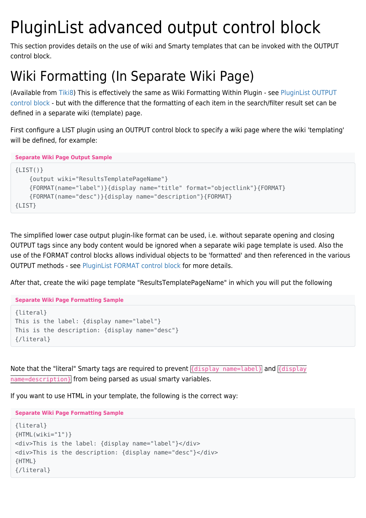# PluginList advanced output control block

This section provides details on the use of wiki and Smarty templates that can be invoked with the OUTPUT control block.

# Wiki Formatting (In Separate Wiki Page)

(Available from [Tiki8](https://doc.tiki.org/Tiki8)) This is effectively the same as Wiki Formatting Within Plugin - see [PluginList OUTPUT](https://doc.tiki.org/PluginList-output-control-block) [control block](https://doc.tiki.org/PluginList-output-control-block) - but with the difference that the formatting of each item in the search/filter result set can be defined in a separate wiki (template) page.

First configure a LIST plugin using an OUTPUT control block to specify a wiki page where the wiki 'templating' will be defined, for example:

**Separate Wiki Page Output Sample**

```
{LIST() } {output wiki="ResultsTemplatePageName"}
     {FORMAT(name="label")}{display name="title" format="objectlink"}{FORMAT}
     {FORMAT(name="desc")}{display name="description"}{FORMAT}
{LIST}
```
The simplified lower case output plugin-like format can be used, i.e. without separate opening and closing OUTPUT tags since any body content would be ignored when a separate wiki page template is used. Also the use of the FORMAT control blocks allows individual objects to be 'formatted' and then referenced in the various OUTPUT methods - see [PluginList FORMAT control block](https://doc.tiki.org/PluginList-format-control-block) for more details.

After that, create the wiki page template "ResultsTemplatePageName" in which you will put the following

**Separate Wiki Page Formatting Sample**

```
{literal}
This is the label: {display name="label"}
This is the description: {display name="desc"}
{/literal}
```
Note that the "literal" Smarty tags are required to prevent  ${distplot}$  name=label} and  ${distplot}$ name=description} from being parsed as usual smarty variables.

If you want to use HTML in your template, the following is the correct way:

**Separate Wiki Page Formatting Sample**

```
{literal}
{HTML(wiki="1")}
<div>This is the label: {display name="label"}</div>
<div>This is the description: {display name="desc"}</div>
{HTML}
{/literal}
```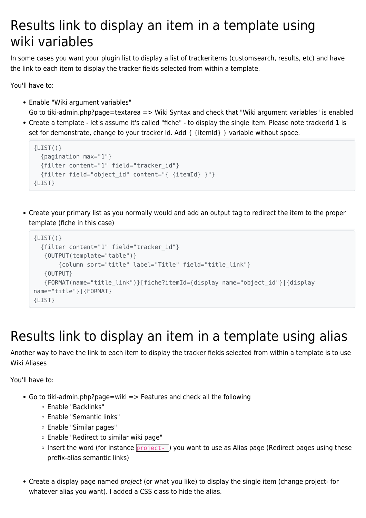# Results link to display an item in a template using wiki variables

In some cases you want your plugin list to display a list of trackeritems (customsearch, results, etc) and have the link to each item to display the tracker fields selected from within a template.

You'll have to:

- Enable "Wiki argument variables"
- Go to tiki-admin.php?page=textarea => Wiki Syntax and check that "Wiki argument variables" is enabled Create a template - let's assume it's called "fiche" - to display the single item. Please note trackerId 1 is set for demonstrate, change to your tracker Id. Add  $\{$  {itemId} } variable without space.

```
{LIST() } {pagination max="1"}
   {filter content="1" field="tracker_id"}
   {filter field="object_id" content="{ {itemId} }"}
{LIST}
```
Create your primary list as you normally would and add an output tag to redirect the item to the proper template (fiche in this case)

```
{LIST() } {filter content="1" field="tracker_id"}
    {OUTPUT(template="table")}
        {column sort="title" label="Title" field="title_link"}
    {OUTPUT}
    {FORMAT(name="title_link")}[fiche?itemId={display name="object_id"}|{display
name="title"}]{FORMAT}
{LIST}
```
# Results link to display an item in a template using alias

Another way to have the link to each item to display the tracker fields selected from within a template is to use Wiki Aliases

You'll have to:

- Go to tiki-admin.php?page=wiki => Features and check all the following
	- Enable "Backlinks"
	- Enable "Semantic links"
	- Enable "Similar pages"
	- Enable "Redirect to similar wiki page"
	- $\circ$  Insert the word (for instance  $\boxed{project-}$ ) you want to use as Alias page (Redirect pages using these prefix-alias semantic links)
- Create a display page named project (or what you like) to display the single item (change project- for whatever alias you want). I added a CSS class to hide the alias.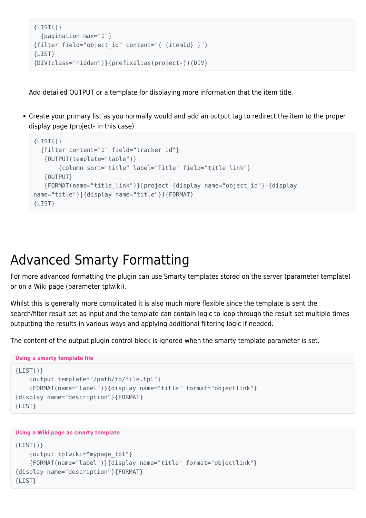```
{LIST() } {pagination max="1"}
{filter field="object_id" content="{ {itemId} }"}
{LIST}
{DIV(class="hidden")}(prefixalias(project-)){DIV}
```
Add detailed OUTPUT or a template for displaying more information that the item title.

Create your primary list as you normally would and add an output tag to redirect the item to the proper display page (project- in this case)

```
{LIST() } {filter content="1" field="tracker_id"}
    {OUTPUT(template="table")}
        {column sort="title" label="Title" field="title_link"}
    {OUTPUT}
    {FORMAT(name="title_link")}[project-{display name="object_id"}-{display
name="title"}|{display name="title"}]{FORMAT}
{LIST}
```
### Advanced Smarty Formatting

For more advanced formatting the plugin can use Smarty templates stored on the server (parameter template) or on a Wiki page (parameter tplwiki).

Whilst this is generally more complicated it is also much more flexible since the template is sent the search/filter result set as input and the template can contain logic to loop through the result set multiple times outputting the results in various ways and applying additional filtering logic if needed.

The content of the output plugin control block is ignored when the smarty template parameter is set.

```
Using a smarty template file
{LIST() } {output template="/path/to/file.tpl"}
     {FORMAT(name="label")}{display name="title" format="objectlink"}
{display name="description"}{FORMAT}
{LIST}
```

```
Using a Wiki page as smarty template
```

```
{LIST() } {output tplwiki="mypage_tpl"}
     {FORMAT(name="label")}{display name="title" format="objectlink"}
{display name="description"}{FORMAT}
{LIST}
```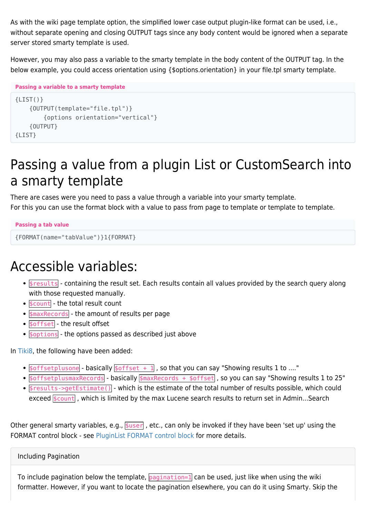As with the wiki page template option, the simplified lower case output plugin-like format can be used, i.e., without separate opening and closing OUTPUT tags since any body content would be ignored when a separate server stored smarty template is used.

However, you may also pass a variable to the smarty template in the body content of the OUTPUT tag. In the below example, you could access orientation using {\$options.orientation} in your file.tpl smarty template.

```
Passing a variable to a smarty template
{LIST() } {OUTPUT(template="file.tpl")}
          {options orientation="vertical"}
     {OUTPUT}
{LIST}
```
# Passing a value from a plugin List or CustomSearch into a smarty template

There are cases were you need to pass a value through a variable into your smarty template. For this you can use the format block with a value to pass from page to template or template to template.

```
Passing a tab value
```

```
{FORMAT(name="tabValue")}1{FORMAT}
```
# Accessible variables:

- . Sresults containing the result set. Each results contain all values provided by the search query along with those requested manually.
- $\bullet$   $\frac{1}{2}$  scount the total result count
- $\bullet$  smaxRecords the amount of results per page
- **\$offset** the result offset
- $\bullet$  soptions the options passed as described just above

In [Tiki8,](https://doc.tiki.org/Tiki8) the following have been added:

- $\bullet$   $\frac{1}{2}$  soffsetplusone basically  $\frac{1}{2}$   $\frac{1}{2}$  and  $\frac{1}{2}$  , so that you can say "Showing results 1 to ...."
- soffsetplusmaxRecords basically smaxRecords + soffset, so you can say "Showing results 1 to 25"
- $s$  results->getEstimate() which is the estimate of the total number of results possible, which could exceed  $\frac{1}{2}$  count , which is limited by the max Lucene search results to return set in Admin...Search

Other general smarty variables, e.g.,  $\frac{1}{2}$   $\frac{1}{2}$  etc., can only be invoked if they have been 'set up' using the FORMAT control block - see [PluginList FORMAT control block](https://doc.tiki.org/PluginList-format-control-block) for more details.

Including Pagination

To include pagination below the template, pagination=1 can be used, just like when using the wiki formatter. However, if you want to locate the pagination elsewhere, you can do it using Smarty. Skip the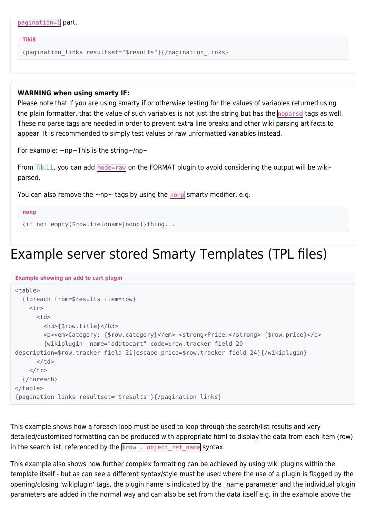| pagination=1 part. |  |
|--------------------|--|
|--------------------|--|

#### **Tiki8**

{pagination\_links resultset="\$results"}{/pagination\_links}

#### **WARNING when using smarty IF:**

Please note that if you are using smarty if or otherwise testing for the values of variables returned using the plain formatter, that the value of such variables is not just the string but has the noparse tags as well. These no parse tags are needed in order to prevent extra line breaks and other wiki parsing artifacts to appear. It is recommended to simply test values of raw unformatted variables instead.

For example:  $\sim$ np $\sim$ This is the string $\sim$ /np $\sim$ 

From [Tiki11](https://doc.tiki.org/Tiki11), you can add mode=raw on the FORMAT plugin to avoid considering the output will be wikiparsed.

You can also remove the  $\sim$ np $\sim$  tags by using the nonp smarty modifier, e.g.

```
nonp
```

```
{if not empty($row.fieldname|nonp)}thing...
```
### Example server stored Smarty Templates (TPL files)

#### **Example showing an add to cart plugin**

```
<table>
   {foreach from=$results item=row}
   <tr><ht> <h3>{$row.title}</h3>
        <p><em>Category: {$row.category}</em> <strong>Price:</strong> {$row.price}</p>
         {wikiplugin _name="addtocart" code=$row.tracker_field_20
description=$row.tracker field 21|escape price=$row.tracker field 24}{/wikiplugin}
      \lt/td\langletr>
   {/foreach}
</table>
{pagination_links resultset="$results"}{/pagination_links}
```
This example shows how a foreach loop must be used to loop through the search/list results and very detailed/customised formatting can be produced with appropriate html to display the data from each item (row) in the search list, referenced by the  $\frac{1}{2}$  row . object\_ref\_name syntax.

This example also shows how further complex formatting can be achieved by using wiki plugins within the template itself - but as can see a different syntax/style must be used where the use of a plugin is flagged by the opening/closing 'wikiplugin' tags, the plugin name is indicated by the \_name parameter and the individual plugin parameters are added in the normal way and can also be set from the data itself e.g. in the example above the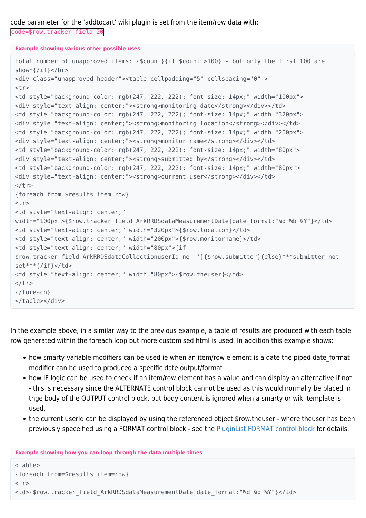code parameter for the 'addtocart' wiki plugin is set from the item/row data with: code=\$row.tracker\_field\_20

**Example showing various other possible uses**

```
Total number of unapproved items: {$count}{if $count >100} - but only the first 100 are
shown{/if}</br>
<div class="unapproved_header"><table cellpadding="5" cellspacing="0" >
<tr><td style="background-color: rgb(247, 222, 222); font-size: 14px;" width="100px">
<div style="text-align: center;"><strong>monitoring date</strong></div></td>
<td style="background-color: rgb(247, 222, 222); font-size: 14px;" width="320px">
<div style="text-align: center;"><strong>monitoring location</strong></div></td>
<td style="background-color: rgb(247, 222, 222); font-size: 14px;" width="200px">
<div style="text-align: center;"><strong>monitor name</strong></div></td>
<td style="background-color: rgb(247, 222, 222); font-size: 14px;" width="80px">
<div style="text-align: center;"><strong>submitted by</strong></div></td>
<td style="background-color: rgb(247, 222, 222); font-size: 14px;" width="80px">
<div style="text-align: center;"><strong>current user</strong></div></td>
\langletr>
{foreach from=$results item=row}
<tr><td style="text-align: center;"
width="100px">{$row.tracker field ArkRRDSdataMeasurementDate|date format:"%d %b %Y"}</td>
<td style="text-align: center;" width="320px">{$row.location}</td>
<td style="text-align: center;" width="200px">{$row.monitorname}</td>
<td style="text-align: center;" width="80px">{if
$row.tracker_field_ArkRRDSdataCollectionuserId ne ''}{$row.submitter}{else}***submitter not
set***{/if}</td>
<td style="text-align: center;" width="80px">{$row.theuser}</td>
\langletr>
{/foreach}
</table></div>
```
In the example above, in a similar way to the previous example, a table of results are produced with each table row generated within the foreach loop but more customised html is used. In addition this example shows:

- how smarty variable modifiers can be used ie when an item/row element is a date the piped date format modifier can be used to produced a specific date output/format
- how IF logic can be used to check if an item/row element has a value and can display an alternative if not - this is necessary since the ALTERNATE control block cannot be used as this would normally be placed in thge body of the OUTPUT control block, but body content is ignored when a smarty or wiki template is used.
- the current userId can be displayed by using the referenced object \$row.theuser where theuser has been previously speceified using a FORMAT control block - see the [PluginList FORMAT control block](https://doc.tiki.org/PluginList-format-control-block) for details.

**Example showing how you can loop through the data multiple times**

<table> {foreach from=\$results item=row}  $<$ tr $>$ <td>{\$row.tracker field ArkRRDSdataMeasurementDate|date format:"%d %b %Y"}</td>